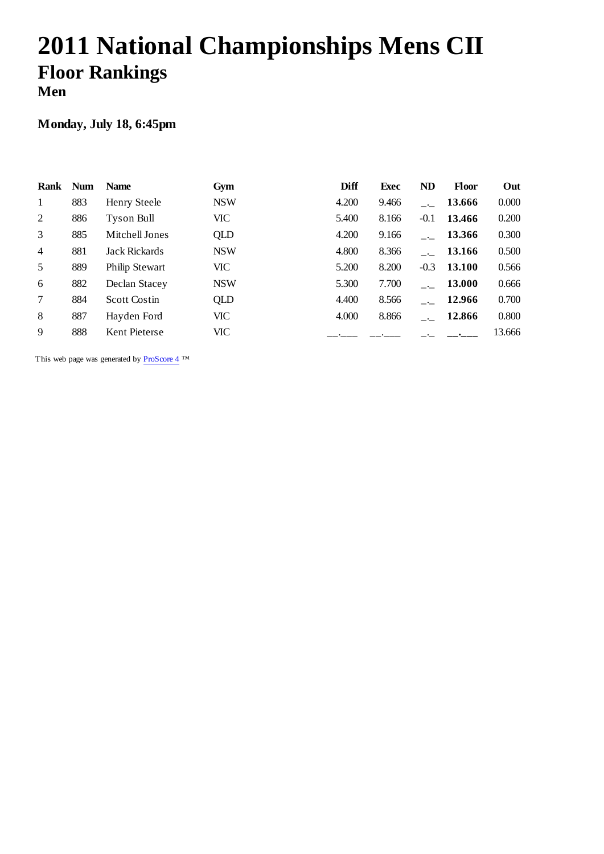# **2011 National Championships Mens CII Floor Rankings Men**

### **Monday, July 18, 6:45pm**

| Rank           | <b>Num</b> | <b>Name</b>         | Gym        | <b>Diff</b> | <b>Exec</b> | <b>ND</b> | <b>Floor</b> | Out    |
|----------------|------------|---------------------|------------|-------------|-------------|-----------|--------------|--------|
| $\mathbf{1}$   | 883        | Henry Steele        | <b>NSW</b> | 4.200       | 9.466       |           | 13.666       | 0.000  |
| 2              | 886        | Tyson Bull          | <b>VIC</b> | 5.400       | 8.166       | $-0.1$    | 13.466       | 0.200  |
| 3              | 885        | Mitchell Jones      | QLD        | 4.200       | 9.166       |           | 13.366       | 0.300  |
| $\overline{4}$ | 881        | Jack Rickards       | <b>NSW</b> | 4.800       | 8.366       |           | 13.166       | 0.500  |
| 5              | 889        | Philip Stewart      | <b>VIC</b> | 5.200       | 8.200       | $-0.3$    | 13.100       | 0.566  |
| 6              | 882        | Declan Stacey       | <b>NSW</b> | 5.300       | 7.700       |           | 13.000       | 0.666  |
| 7              | 884        | <b>Scott Costin</b> | QLD        | 4.400       | 8.566       |           | 12.966       | 0.700  |
| 8              | 887        | Hayden Ford         | <b>VIC</b> | 4.000       | 8.866       |           | 12.866       | 0.800  |
| 9              | 888        | Kent Pieterse       | <b>VIC</b> |             |             |           |              | 13.666 |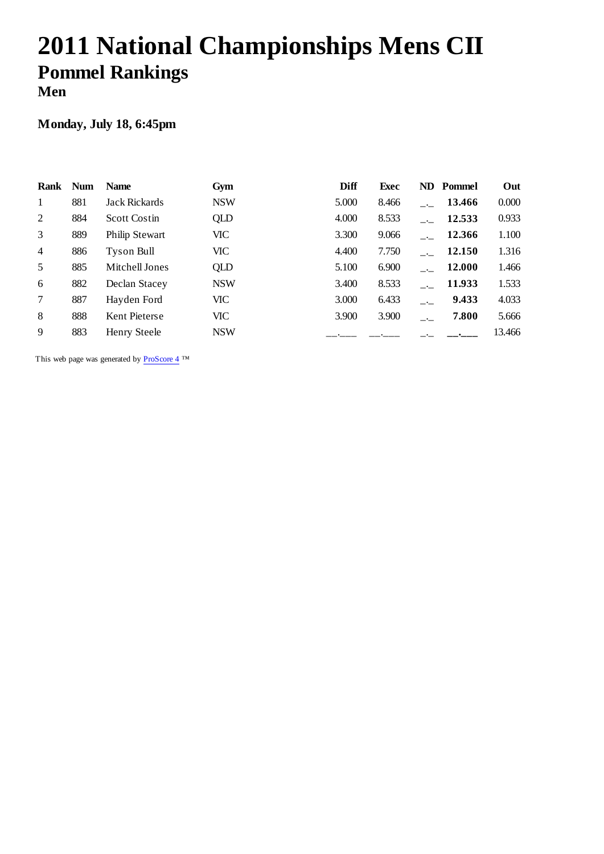# **2011 National Championships Mens CII Pommel Rankings Men**

### **Monday, July 18, 6:45pm**

| Rank           | <b>Num</b> | <b>Name</b>           | Gym        | Diff  | <b>Exec</b> |      | <b>ND</b> Pommel | Out    |
|----------------|------------|-----------------------|------------|-------|-------------|------|------------------|--------|
| $\mathbf{1}$   | 881        | <b>Jack Rickards</b>  | <b>NSW</b> | 5.000 | 8.466       |      | 13.466           | 0.000  |
| 2              | 884        | <b>Scott Costin</b>   | QLD        | 4.000 | 8.533       |      | 12.533           | 0.933  |
| 3              | 889        | <b>Philip Stewart</b> | VIC        | 3.300 | 9.066       |      | 12.366           | 1.100  |
| $\overline{4}$ | 886        | Tyson Bull            | VIC        | 4.400 | 7.750       |      | 12.150           | 1.316  |
| 5              | 885        | Mitchell Jones        | QLD        | 5.100 | 6.900       |      | 12.000           | 1.466  |
| 6              | 882        | Declan Stacey         | <b>NSW</b> | 3.400 | 8.533       |      | 11.933           | 1.533  |
| $\tau$         | 887        | Hayden Ford           | VIC        | 3.000 | 6.433       |      | 9.433            | 4.033  |
| 8              | 888        | Kent Pieterse         | VIC        | 3.900 | 3.900       | $ -$ | 7.800            | 5.666  |
| 9              | 883        | Henry Steele          | <b>NSW</b> |       |             |      |                  | 13.466 |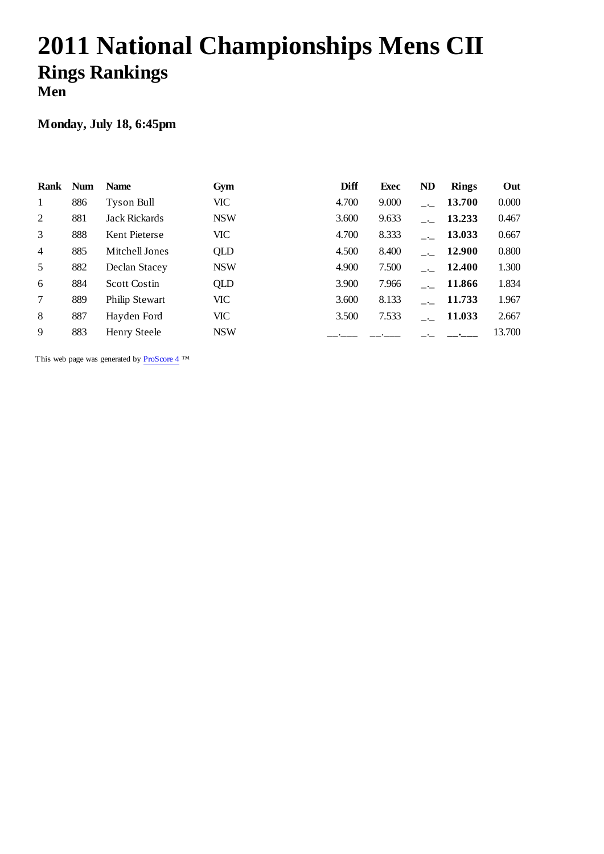# **2011 National Championships Mens CII Rings Rankings Men**

### **Monday, July 18, 6:45pm**

| Rank           | <b>Num</b> | <b>Name</b>           | Gym        | <b>Diff</b> | <b>Exec</b> | <b>ND</b> | <b>Rings</b>  | Out    |
|----------------|------------|-----------------------|------------|-------------|-------------|-----------|---------------|--------|
| $\mathbf{1}$   | 886        | Tyson Bull            | <b>VIC</b> | 4.700       | 9.000       |           | 13.700        | 0.000  |
| 2              | 881        | <b>Jack Rickards</b>  | <b>NSW</b> | 3.600       | 9.633       |           | 13.233        | 0.467  |
| 3              | 888        | Kent Pieterse         | <b>VIC</b> | 4.700       | 8.333       |           | 13.033        | 0.667  |
| $\overline{4}$ | 885        | Mitchell Jones        | QLD        | 4.500       | 8.400       |           | <b>12.900</b> | 0.800  |
| 5              | 882        | Declan Stacey         | <b>NSW</b> | 4.900       | 7.500       |           | 12.400        | 1.300  |
| 6              | 884        | <b>Scott Costin</b>   | QLD        | 3.900       | 7.966       |           | 11.866        | 1.834  |
| $\tau$         | 889        | <b>Philip Stewart</b> | <b>VIC</b> | 3.600       | 8.133       |           | 11.733        | 1.967  |
| 8              | 887        | Hayden Ford           | VIC        | 3.500       | 7.533       |           | 11.033        | 2.667  |
| 9              | 883        | Henry Steele          | <b>NSW</b> |             |             |           |               | 13.700 |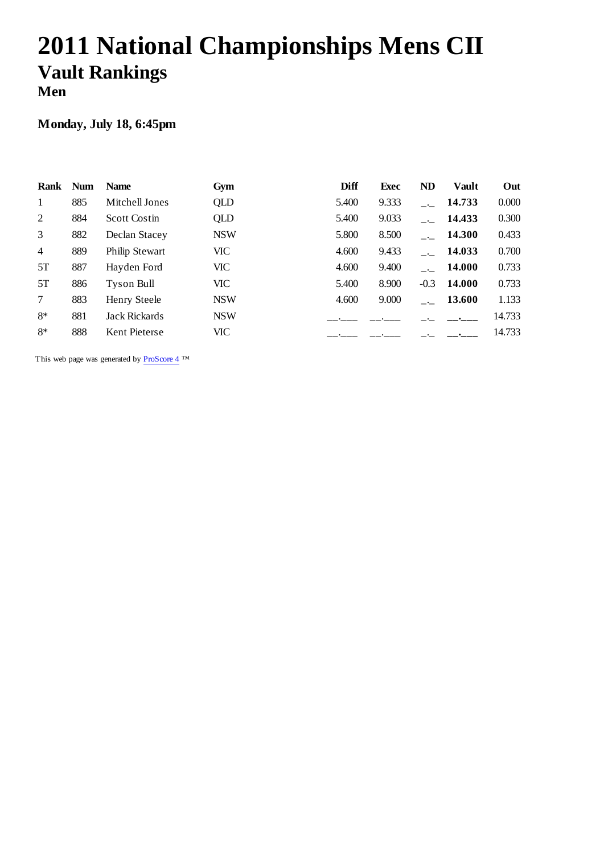# **2011 National Championships Mens CII Vault Rankings Men**

### **Monday, July 18, 6:45pm**

| Rank           | <b>Num</b> | <b>Name</b>          | Gym        | Diff  | Exec  | <b>ND</b> | Vault  | Out    |
|----------------|------------|----------------------|------------|-------|-------|-----------|--------|--------|
| $\mathbf{1}$   | 885        | Mitchell Jones       | QLD        | 5.400 | 9.333 |           | 14.733 | 0.000  |
| 2              | 884        | <b>Scott Costin</b>  | QLD        | 5.400 | 9.033 |           | 14.433 | 0.300  |
| 3              | 882        | Declan Stacey        | <b>NSW</b> | 5.800 | 8.500 |           | 14.300 | 0.433  |
| $\overline{4}$ | 889        | Philip Stewart       | VIC        | 4.600 | 9.433 |           | 14.033 | 0.700  |
| 5T             | 887        | Hayden Ford          | VIC        | 4.600 | 9.400 |           | 14.000 | 0.733  |
| 5T             | 886        | Tyson Bull           | VIC        | 5.400 | 8.900 | $-0.3$    | 14.000 | 0.733  |
| 7              | 883        | Henry Steele         | <b>NSW</b> | 4.600 | 9.000 |           | 13.600 | 1.133  |
| $8*$           | 881        | <b>Jack Rickards</b> | <b>NSW</b> |       |       |           |        | 14.733 |
| $8*$           | 888        | Kent Pieterse        | VIC        |       |       |           |        | 14.733 |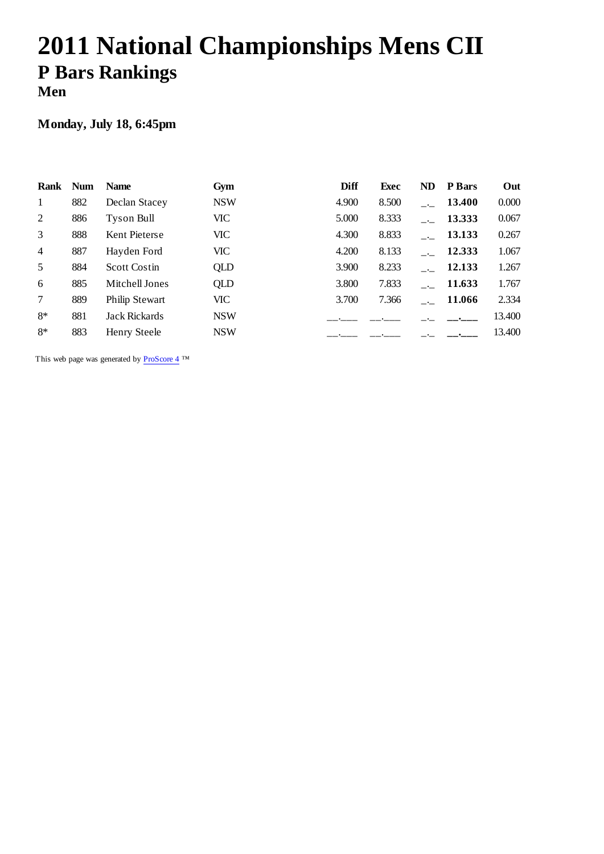# **2011 National Championships Mens CII P Bars Rankings Men**

### **Monday, July 18, 6:45pm**

| Rank           | <b>Num</b> | <b>Name</b>           | Gym        | <b>Diff</b> | <b>Exec</b> | <b>ND</b> | <b>P</b> Bars | Out    |
|----------------|------------|-----------------------|------------|-------------|-------------|-----------|---------------|--------|
| $\mathbf{1}$   | 882        | Declan Stacey         | <b>NSW</b> | 4.900       | 8.500       |           | 13.400        | 0.000  |
| 2              | 886        | Tyson Bull            | VIC        | 5.000       | 8.333       |           | 13.333        | 0.067  |
| 3              | 888        | Kent Pieterse         | VIC        | 4.300       | 8.833       |           | 13.133        | 0.267  |
| $\overline{4}$ | 887        | Hayden Ford           | VIC        | 4.200       | 8.133       |           | 12.333        | 1.067  |
| 5              | 884        | <b>Scott Costin</b>   | QLD        | 3.900       | 8.233       |           | 12.133        | 1.267  |
| 6              | 885        | Mitchell Jones        | QLD        | 3.800       | 7.833       |           | 11.633        | 1.767  |
| $\tau$         | 889        | <b>Philip Stewart</b> | <b>VIC</b> | 3.700       | 7.366       |           | 11.066        | 2.334  |
| $8*$           | 881        | <b>Jack Rickards</b>  | <b>NSW</b> |             |             |           |               | 13.400 |
| $8*$           | 883        | Henry Steele          | <b>NSW</b> |             |             |           |               | 13.400 |